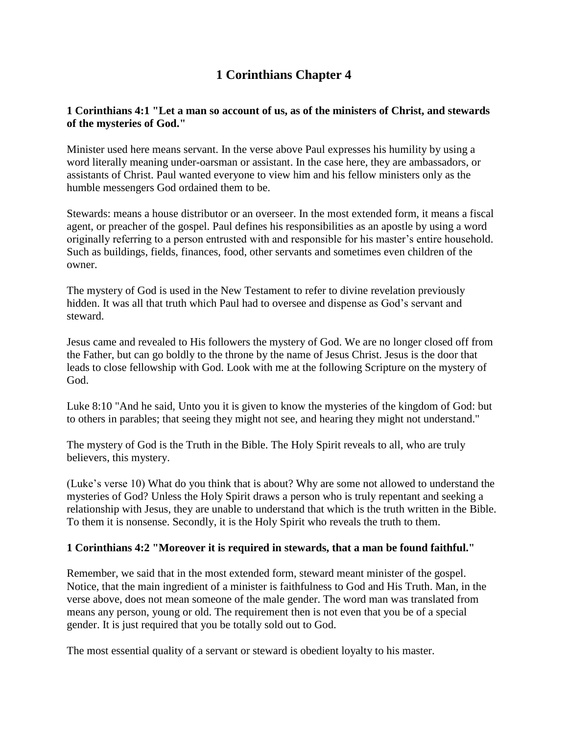# **1 Corinthians Chapter 4**

## **1 Corinthians 4:1 "Let a man so account of us, as of the ministers of Christ, and stewards of the mysteries of God."**

Minister used here means servant. In the verse above Paul expresses his humility by using a word literally meaning under-oarsman or assistant. In the case here, they are ambassadors, or assistants of Christ. Paul wanted everyone to view him and his fellow ministers only as the humble messengers God ordained them to be.

Stewards: means a house distributor or an overseer. In the most extended form, it means a fiscal agent, or preacher of the gospel. Paul defines his responsibilities as an apostle by using a word originally referring to a person entrusted with and responsible for his master's entire household. Such as buildings, fields, finances, food, other servants and sometimes even children of the owner.

The mystery of God is used in the New Testament to refer to divine revelation previously hidden. It was all that truth which Paul had to oversee and dispense as God's servant and steward.

Jesus came and revealed to His followers the mystery of God. We are no longer closed off from the Father, but can go boldly to the throne by the name of Jesus Christ. Jesus is the door that leads to close fellowship with God. Look with me at the following Scripture on the mystery of God.

Luke 8:10 "And he said, Unto you it is given to know the mysteries of the kingdom of God: but to others in parables; that seeing they might not see, and hearing they might not understand."

The mystery of God is the Truth in the Bible. The Holy Spirit reveals to all, who are truly believers, this mystery.

(Luke's verse 10) What do you think that is about? Why are some not allowed to understand the mysteries of God? Unless the Holy Spirit draws a person who is truly repentant and seeking a relationship with Jesus, they are unable to understand that which is the truth written in the Bible. To them it is nonsense. Secondly, it is the Holy Spirit who reveals the truth to them.

## **1 Corinthians 4:2 "Moreover it is required in stewards, that a man be found faithful."**

Remember, we said that in the most extended form, steward meant minister of the gospel. Notice, that the main ingredient of a minister is faithfulness to God and His Truth. Man, in the verse above, does not mean someone of the male gender. The word man was translated from means any person, young or old. The requirement then is not even that you be of a special gender. It is just required that you be totally sold out to God.

The most essential quality of a servant or steward is obedient loyalty to his master.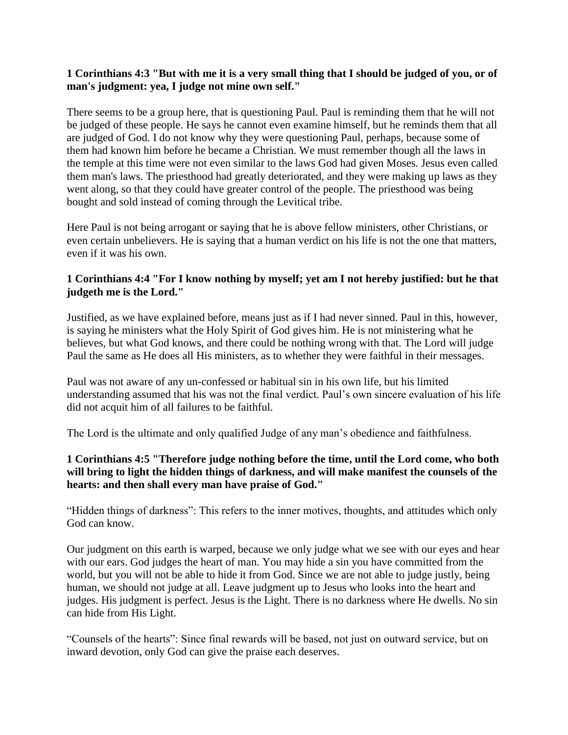#### **1 Corinthians 4:3 "But with me it is a very small thing that I should be judged of you, or of man's judgment: yea, I judge not mine own self."**

There seems to be a group here, that is questioning Paul. Paul is reminding them that he will not be judged of these people. He says he cannot even examine himself, but he reminds them that all are judged of God. I do not know why they were questioning Paul, perhaps, because some of them had known him before he became a Christian. We must remember though all the laws in the temple at this time were not even similar to the laws God had given Moses. Jesus even called them man's laws. The priesthood had greatly deteriorated, and they were making up laws as they went along, so that they could have greater control of the people. The priesthood was being bought and sold instead of coming through the Levitical tribe.

Here Paul is not being arrogant or saying that he is above fellow ministers, other Christians, or even certain unbelievers. He is saying that a human verdict on his life is not the one that matters, even if it was his own.

## **1 Corinthians 4:4 "For I know nothing by myself; yet am I not hereby justified: but he that judgeth me is the Lord."**

Justified, as we have explained before, means just as if I had never sinned. Paul in this, however, is saying he ministers what the Holy Spirit of God gives him. He is not ministering what he believes, but what God knows, and there could be nothing wrong with that. The Lord will judge Paul the same as He does all His ministers, as to whether they were faithful in their messages.

Paul was not aware of any un-confessed or habitual sin in his own life, but his limited understanding assumed that his was not the final verdict. Paul's own sincere evaluation of his life did not acquit him of all failures to be faithful.

The Lord is the ultimate and only qualified Judge of any man's obedience and faithfulness.

## **1 Corinthians 4:5 "Therefore judge nothing before the time, until the Lord come, who both will bring to light the hidden things of darkness, and will make manifest the counsels of the hearts: and then shall every man have praise of God."**

"Hidden things of darkness": This refers to the inner motives, thoughts, and attitudes which only God can know.

Our judgment on this earth is warped, because we only judge what we see with our eyes and hear with our ears. God judges the heart of man. You may hide a sin you have committed from the world, but you will not be able to hide it from God. Since we are not able to judge justly, being human, we should not judge at all. Leave judgment up to Jesus who looks into the heart and judges. His judgment is perfect. Jesus is the Light. There is no darkness where He dwells. No sin can hide from His Light.

"Counsels of the hearts": Since final rewards will be based, not just on outward service, but on inward devotion, only God can give the praise each deserves.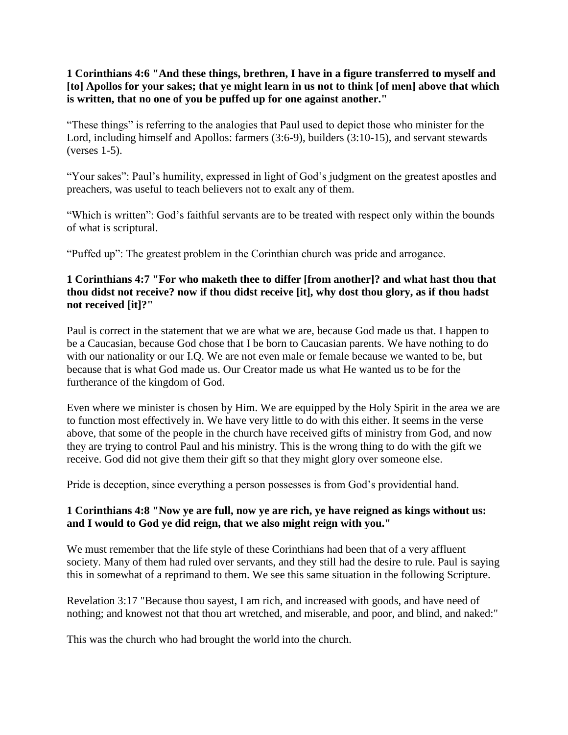**1 Corinthians 4:6 "And these things, brethren, I have in a figure transferred to myself and [to] Apollos for your sakes; that ye might learn in us not to think [of men] above that which is written, that no one of you be puffed up for one against another."**

"These things" is referring to the analogies that Paul used to depict those who minister for the Lord, including himself and Apollos: farmers (3:6-9), builders (3:10-15), and servant stewards (verses 1-5).

"Your sakes": Paul's humility, expressed in light of God's judgment on the greatest apostles and preachers, was useful to teach believers not to exalt any of them.

"Which is written": God's faithful servants are to be treated with respect only within the bounds of what is scriptural.

"Puffed up": The greatest problem in the Corinthian church was pride and arrogance.

#### **1 Corinthians 4:7 "For who maketh thee to differ [from another]? and what hast thou that thou didst not receive? now if thou didst receive [it], why dost thou glory, as if thou hadst not received [it]?"**

Paul is correct in the statement that we are what we are, because God made us that. I happen to be a Caucasian, because God chose that I be born to Caucasian parents. We have nothing to do with our nationality or our I.Q. We are not even male or female because we wanted to be, but because that is what God made us. Our Creator made us what He wanted us to be for the furtherance of the kingdom of God.

Even where we minister is chosen by Him. We are equipped by the Holy Spirit in the area we are to function most effectively in. We have very little to do with this either. It seems in the verse above, that some of the people in the church have received gifts of ministry from God, and now they are trying to control Paul and his ministry. This is the wrong thing to do with the gift we receive. God did not give them their gift so that they might glory over someone else.

Pride is deception, since everything a person possesses is from God's providential hand.

## **1 Corinthians 4:8 "Now ye are full, now ye are rich, ye have reigned as kings without us: and I would to God ye did reign, that we also might reign with you."**

We must remember that the life style of these Corinthians had been that of a very affluent society. Many of them had ruled over servants, and they still had the desire to rule. Paul is saying this in somewhat of a reprimand to them. We see this same situation in the following Scripture.

Revelation 3:17 "Because thou sayest, I am rich, and increased with goods, and have need of nothing; and knowest not that thou art wretched, and miserable, and poor, and blind, and naked:"

This was the church who had brought the world into the church.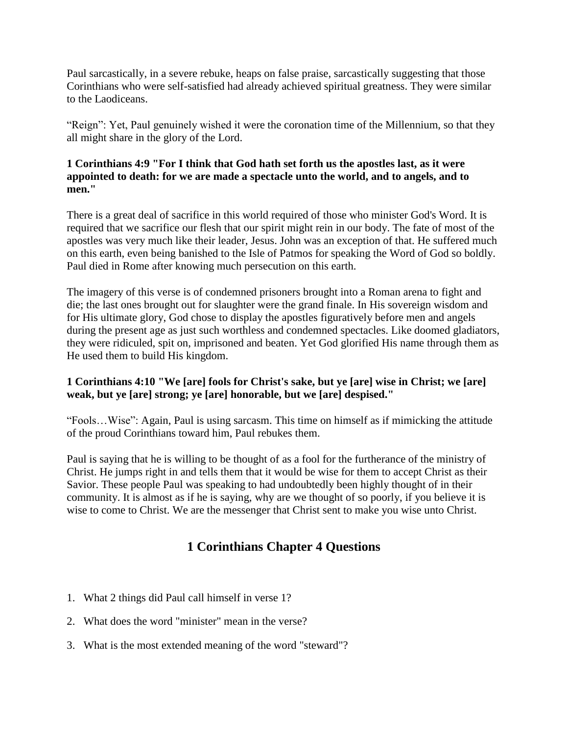Paul sarcastically, in a severe rebuke, heaps on false praise, sarcastically suggesting that those Corinthians who were self-satisfied had already achieved spiritual greatness. They were similar to the Laodiceans.

"Reign": Yet, Paul genuinely wished it were the coronation time of the Millennium, so that they all might share in the glory of the Lord.

#### **1 Corinthians 4:9 "For I think that God hath set forth us the apostles last, as it were appointed to death: for we are made a spectacle unto the world, and to angels, and to men."**

There is a great deal of sacrifice in this world required of those who minister God's Word. It is required that we sacrifice our flesh that our spirit might rein in our body. The fate of most of the apostles was very much like their leader, Jesus. John was an exception of that. He suffered much on this earth, even being banished to the Isle of Patmos for speaking the Word of God so boldly. Paul died in Rome after knowing much persecution on this earth.

The imagery of this verse is of condemned prisoners brought into a Roman arena to fight and die; the last ones brought out for slaughter were the grand finale. In His sovereign wisdom and for His ultimate glory, God chose to display the apostles figuratively before men and angels during the present age as just such worthless and condemned spectacles. Like doomed gladiators, they were ridiculed, spit on, imprisoned and beaten. Yet God glorified His name through them as He used them to build His kingdom.

## **1 Corinthians 4:10 "We [are] fools for Christ's sake, but ye [are] wise in Christ; we [are] weak, but ye [are] strong; ye [are] honorable, but we [are] despised."**

"Fools…Wise": Again, Paul is using sarcasm. This time on himself as if mimicking the attitude of the proud Corinthians toward him, Paul rebukes them.

Paul is saying that he is willing to be thought of as a fool for the furtherance of the ministry of Christ. He jumps right in and tells them that it would be wise for them to accept Christ as their Savior. These people Paul was speaking to had undoubtedly been highly thought of in their community. It is almost as if he is saying, why are we thought of so poorly, if you believe it is wise to come to Christ. We are the messenger that Christ sent to make you wise unto Christ.

## **1 Corinthians Chapter 4 Questions**

- 1. What 2 things did Paul call himself in verse 1?
- 2. What does the word "minister" mean in the verse?
- 3. What is the most extended meaning of the word "steward"?